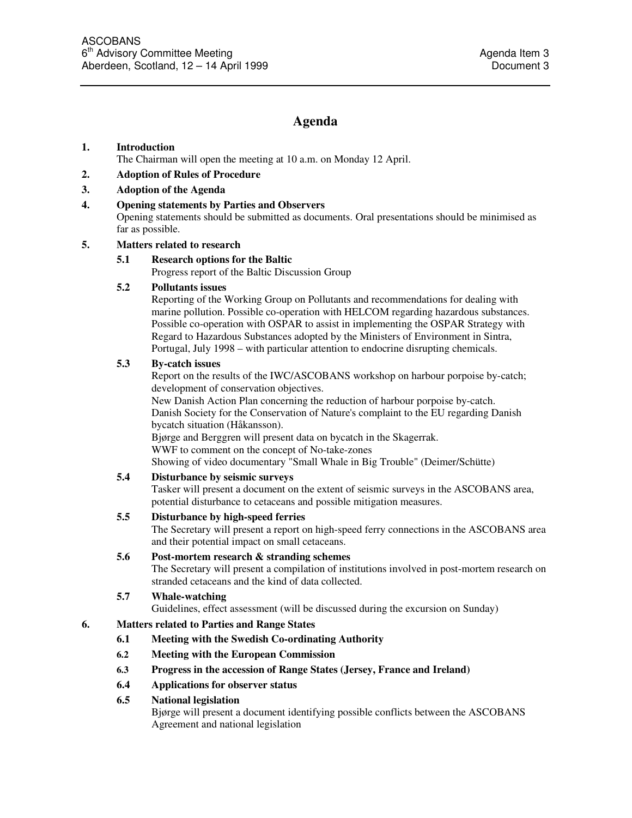# **Agenda**

#### **1. Introduction**

The Chairman will open the meeting at 10 a.m. on Monday 12 April.

#### **2. Adoption of Rules of Procedure**

#### **3. Adoption of the Agenda**

#### **4. Opening statements by Parties and Observers**

Opening statements should be submitted as documents. Oral presentations should be minimised as far as possible.

# **5. Matters related to research**

# **5.1 Research options for the Baltic**

Progress report of the Baltic Discussion Group

#### **5.2 Pollutants issues**

Reporting of the Working Group on Pollutants and recommendations for dealing with marine pollution. Possible co-operation with HELCOM regarding hazardous substances. Possible co-operation with OSPAR to assist in implementing the OSPAR Strategy with Regard to Hazardous Substances adopted by the Ministers of Environment in Sintra, Portugal, July 1998 – with particular attention to endocrine disrupting chemicals.

#### **5.3 By-catch issues**

Report on the results of the IWC/ASCOBANS workshop on harbour porpoise by-catch; development of conservation objectives.

New Danish Action Plan concerning the reduction of harbour porpoise by-catch. Danish Society for the Conservation of Nature's complaint to the EU regarding Danish bycatch situation (Håkansson).

Bjørge and Berggren will present data on bycatch in the Skagerrak. WWF to comment on the concept of No-take-zones Showing of video documentary "Small Whale in Big Trouble" (Deimer/Schütte)

# **5.4 Disturbance by seismic surveys**

Tasker will present a document on the extent of seismic surveys in the ASCOBANS area, potential disturbance to cetaceans and possible mitigation measures.

# **5.5 Disturbance by high-speed ferries**

The Secretary will present a report on high-speed ferry connections in the ASCOBANS area and their potential impact on small cetaceans.

# **5.6 Post-mortem research & stranding schemes**

The Secretary will present a compilation of institutions involved in post-mortem research on stranded cetaceans and the kind of data collected.

# **5.7 Whale-watching**

Guidelines, effect assessment (will be discussed during the excursion on Sunday)

# **6. Matters related to Parties and Range States**

- **6.1 Meeting with the Swedish Co-ordinating Authority**
- **6.2 Meeting with the European Commission**
- **6.3 Progress in the accession of Range States (Jersey, France and Ireland)**
- **6.4 Applications for observer status**

# **6.5 National legislation**

Bjørge will present a document identifying possible conflicts between the ASCOBANS Agreement and national legislation